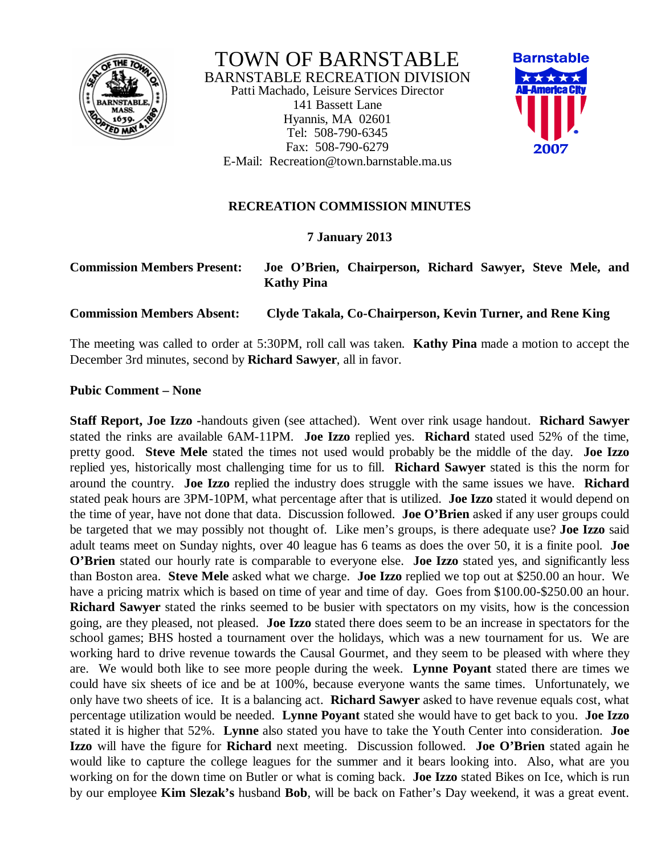

TOWN OF BARNSTABLE BARNSTABLE RECREATION DIVISION Patti Machado, Leisure Services Director 141 Bassett Lane Hyannis, MA 02601 Tel: 508-790-6345 Fax: 508-790-6279 E-Mail: Recreation@town.barnstable.ma.us



## **RECREATION COMMISSION MINUTES**

## **7 January 2013**

| <b>Commission Members Present:</b> | Joe O'Brien, Chairperson, Richard Sawyer, Steve Mele, and<br><b>Kathy Pina</b> |
|------------------------------------|--------------------------------------------------------------------------------|
| <b>Commission Members Absent:</b>  | Clyde Takala, Co-Chairperson, Kevin Turner, and Rene King                      |

The meeting was called to order at 5:30PM, roll call was taken. **Kathy Pina** made a motion to accept the December 3rd minutes, second by **Richard Sawyer**, all in favor.

## **Pubic Comment – None**

**Staff Report, Joe Izzo -**handouts given (see attached). Went over rink usage handout. **Richard Sawyer** stated the rinks are available 6AM-11PM. **Joe Izzo** replied yes. **Richard** stated used 52% of the time, pretty good. **Steve Mele** stated the times not used would probably be the middle of the day. **Joe Izzo** replied yes, historically most challenging time for us to fill. **Richard Sawyer** stated is this the norm for around the country. **Joe Izzo** replied the industry does struggle with the same issues we have. **Richard** stated peak hours are 3PM-10PM, what percentage after that is utilized. **Joe Izzo** stated it would depend on the time of year, have not done that data. Discussion followed. **Joe O'Brien** asked if any user groups could be targeted that we may possibly not thought of. Like men's groups, is there adequate use? **Joe Izzo** said adult teams meet on Sunday nights, over 40 league has 6 teams as does the over 50, it is a finite pool. **Joe O'Brien** stated our hourly rate is comparable to everyone else. **Joe Izzo** stated yes, and significantly less than Boston area. **Steve Mele** asked what we charge. **Joe Izzo** replied we top out at \$250.00 an hour. We have a pricing matrix which is based on time of year and time of day. Goes from \$100.00-\$250.00 an hour. **Richard Sawyer** stated the rinks seemed to be busier with spectators on my visits, how is the concession going, are they pleased, not pleased. **Joe Izzo** stated there does seem to be an increase in spectators for the school games; BHS hosted a tournament over the holidays, which was a new tournament for us. We are working hard to drive revenue towards the Causal Gourmet, and they seem to be pleased with where they are. We would both like to see more people during the week. **Lynne Poyant** stated there are times we could have six sheets of ice and be at 100%, because everyone wants the same times. Unfortunately, we only have two sheets of ice. It is a balancing act. **Richard Sawyer** asked to have revenue equals cost, what percentage utilization would be needed. **Lynne Poyant** stated she would have to get back to you. **Joe Izzo** stated it is higher that 52%. **Lynne** also stated you have to take the Youth Center into consideration. **Joe Izzo** will have the figure for **Richard** next meeting. Discussion followed. **Joe O'Brien** stated again he would like to capture the college leagues for the summer and it bears looking into. Also, what are you working on for the down time on Butler or what is coming back. **Joe Izzo** stated Bikes on Ice, which is run by our employee **Kim Slezak's** husband **Bob**, will be back on Father's Day weekend, it was a great event.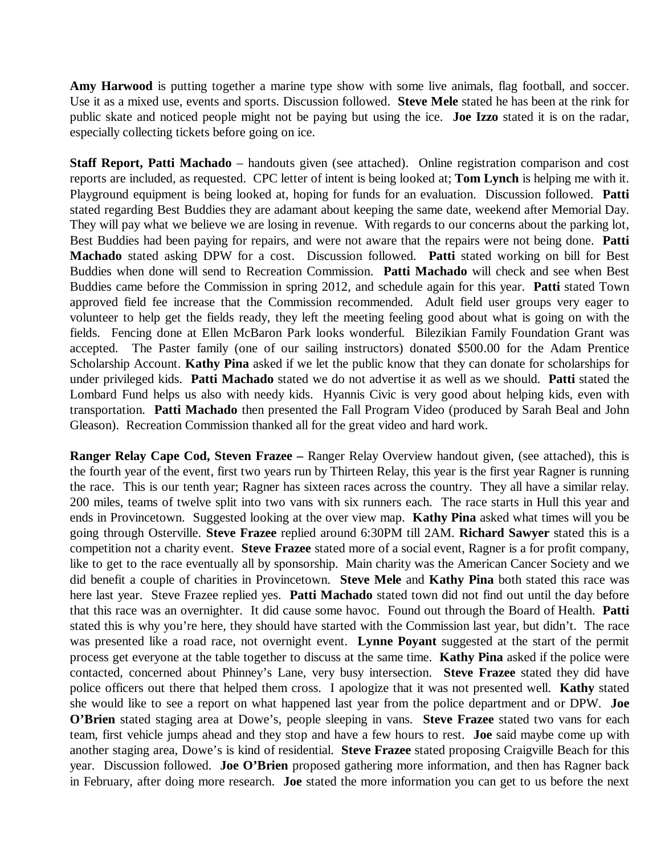**Amy Harwood** is putting together a marine type show with some live animals, flag football, and soccer. Use it as a mixed use, events and sports. Discussion followed. **Steve Mele** stated he has been at the rink for public skate and noticed people might not be paying but using the ice. **Joe Izzo** stated it is on the radar, especially collecting tickets before going on ice.

**Staff Report, Patti Machado** – handouts given (see attached). Online registration comparison and cost reports are included, as requested. CPC letter of intent is being looked at; **Tom Lynch** is helping me with it. Playground equipment is being looked at, hoping for funds for an evaluation. Discussion followed. **Patti** stated regarding Best Buddies they are adamant about keeping the same date, weekend after Memorial Day. They will pay what we believe we are losing in revenue. With regards to our concerns about the parking lot, Best Buddies had been paying for repairs, and were not aware that the repairs were not being done. **Patti Machado** stated asking DPW for a cost. Discussion followed. **Patti** stated working on bill for Best Buddies when done will send to Recreation Commission. **Patti Machado** will check and see when Best Buddies came before the Commission in spring 2012, and schedule again for this year. **Patti** stated Town approved field fee increase that the Commission recommended. Adult field user groups very eager to volunteer to help get the fields ready, they left the meeting feeling good about what is going on with the fields. Fencing done at Ellen McBaron Park looks wonderful. Bilezikian Family Foundation Grant was accepted. The Paster family (one of our sailing instructors) donated \$500.00 for the Adam Prentice Scholarship Account. **Kathy Pina** asked if we let the public know that they can donate for scholarships for under privileged kids. **Patti Machado** stated we do not advertise it as well as we should. **Patti** stated the Lombard Fund helps us also with needy kids. Hyannis Civic is very good about helping kids, even with transportation. **Patti Machado** then presented the Fall Program Video (produced by Sarah Beal and John Gleason). Recreation Commission thanked all for the great video and hard work.

**Ranger Relay Cape Cod, Steven Frazee –** Ranger Relay Overview handout given, (see attached), this is the fourth year of the event, first two years run by Thirteen Relay, this year is the first year Ragner is running the race. This is our tenth year; Ragner has sixteen races across the country. They all have a similar relay. 200 miles, teams of twelve split into two vans with six runners each. The race starts in Hull this year and ends in Provincetown. Suggested looking at the over view map. **Kathy Pina** asked what times will you be going through Osterville. **Steve Frazee** replied around 6:30PM till 2AM. **Richard Sawyer** stated this is a competition not a charity event. **Steve Frazee** stated more of a social event, Ragner is a for profit company, like to get to the race eventually all by sponsorship. Main charity was the American Cancer Society and we did benefit a couple of charities in Provincetown. **Steve Mele** and **Kathy Pina** both stated this race was here last year. Steve Frazee replied yes. **Patti Machado** stated town did not find out until the day before that this race was an overnighter. It did cause some havoc. Found out through the Board of Health. **Patti** stated this is why you're here, they should have started with the Commission last year, but didn't. The race was presented like a road race, not overnight event. **Lynne Poyant** suggested at the start of the permit process get everyone at the table together to discuss at the same time. **Kathy Pina** asked if the police were contacted, concerned about Phinney's Lane, very busy intersection. **Steve Frazee** stated they did have police officers out there that helped them cross. I apologize that it was not presented well. **Kathy** stated she would like to see a report on what happened last year from the police department and or DPW. **Joe O'Brien** stated staging area at Dowe's, people sleeping in vans. **Steve Frazee** stated two vans for each team, first vehicle jumps ahead and they stop and have a few hours to rest. **Joe** said maybe come up with another staging area, Dowe's is kind of residential. **Steve Frazee** stated proposing Craigville Beach for this year. Discussion followed. **Joe O'Brien** proposed gathering more information, and then has Ragner back in February, after doing more research. **Joe** stated the more information you can get to us before the next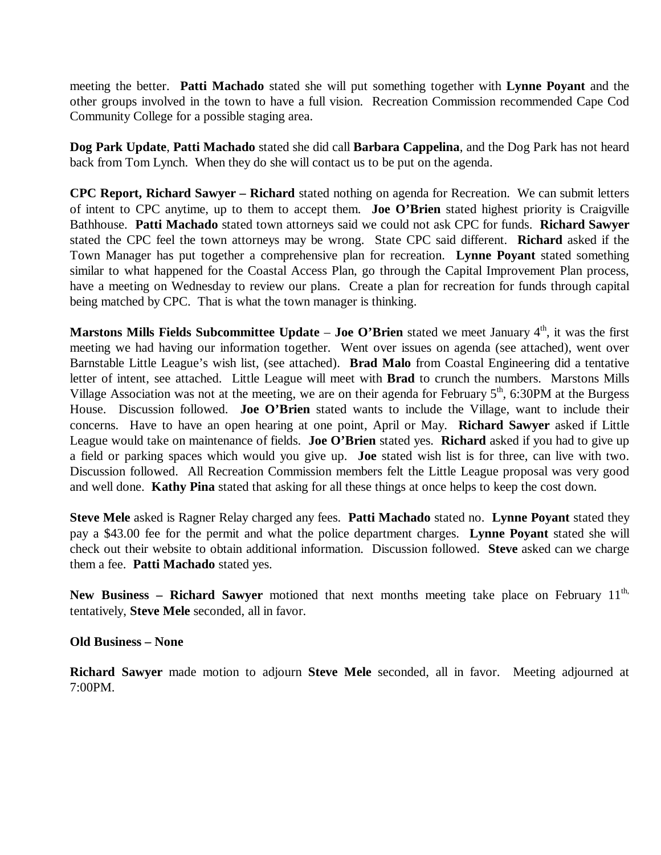meeting the better. **Patti Machado** stated she will put something together with **Lynne Poyant** and the other groups involved in the town to have a full vision. Recreation Commission recommended Cape Cod Community College for a possible staging area.

**Dog Park Update**, **Patti Machado** stated she did call **Barbara Cappelina**, and the Dog Park has not heard back from Tom Lynch. When they do she will contact us to be put on the agenda.

**CPC Report, Richard Sawyer – Richard** stated nothing on agenda for Recreation. We can submit letters of intent to CPC anytime, up to them to accept them. **Joe O'Brien** stated highest priority is Craigville Bathhouse. **Patti Machado** stated town attorneys said we could not ask CPC for funds. **Richard Sawyer** stated the CPC feel the town attorneys may be wrong. State CPC said different. **Richard** asked if the Town Manager has put together a comprehensive plan for recreation. **Lynne Poyant** stated something similar to what happened for the Coastal Access Plan, go through the Capital Improvement Plan process, have a meeting on Wednesday to review our plans. Create a plan for recreation for funds through capital being matched by CPC. That is what the town manager is thinking.

**Marstons Mills Fields Subcommittee Update – Joe O'Brien** stated we meet January 4<sup>th</sup>, it was the first meeting we had having our information together. Went over issues on agenda (see attached), went over Barnstable Little League's wish list, (see attached). **Brad Malo** from Coastal Engineering did a tentative letter of intent, see attached. Little League will meet with **Brad** to crunch the numbers. Marstons Mills Village Association was not at the meeting, we are on their agenda for February  $5<sup>th</sup>$ , 6:30PM at the Burgess House. Discussion followed. **Joe O'Brien** stated wants to include the Village, want to include their concerns. Have to have an open hearing at one point, April or May. **Richard Sawyer** asked if Little League would take on maintenance of fields. **Joe O'Brien** stated yes. **Richard** asked if you had to give up a field or parking spaces which would you give up. **Joe** stated wish list is for three, can live with two. Discussion followed. All Recreation Commission members felt the Little League proposal was very good and well done. **Kathy Pina** stated that asking for all these things at once helps to keep the cost down.

**Steve Mele** asked is Ragner Relay charged any fees. **Patti Machado** stated no. **Lynne Poyant** stated they pay a \$43.00 fee for the permit and what the police department charges. **Lynne Poyant** stated she will check out their website to obtain additional information. Discussion followed. **Steve** asked can we charge them a fee. **Patti Machado** stated yes.

**New Business – Richard Sawyer** motioned that next months meeting take place on February 11<sup>th,</sup> tentatively, **Steve Mele** seconded, all in favor.

**Old Business – None**

**Richard Sawyer** made motion to adjourn **Steve Mele** seconded, all in favor. Meeting adjourned at 7:00PM.